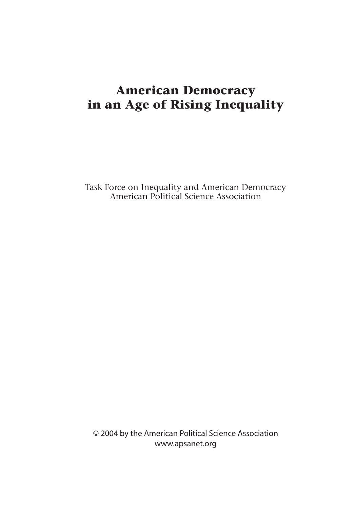Task Force on Inequality and American Democracy American Political Science Association

© 2004 by the American Political Science Association www.apsanet.org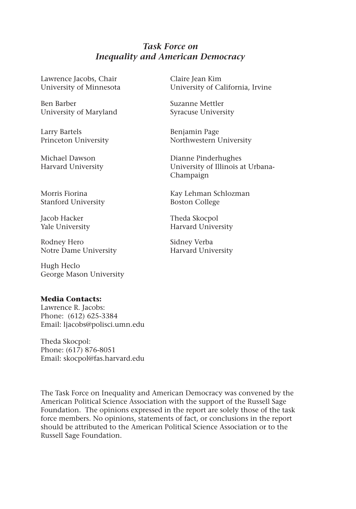# *Task Force on Inequality and American Democracy*

Lawrence Jacobs, Chair University of Minnesota

Ben Barber University of Maryland

Larry Bartels Princeton University

Michael Dawson Harvard University

Morris Fiorina Stanford University

Jacob Hacker Yale University

Rodney Hero Notre Dame University

Hugh Heclo George Mason University

# **Media Contacts:**

Lawrence R. Jacobs: Phone: (612) 625-3384 Email: ljacobs@polisci.umn.edu

Theda Skocpol: Phone: (617) 876-8051 Email: skocpol@fas.harvard.edu

The Task Force on Inequality and American Democracy was convened by the American Political Science Association with the support of the Russell Sage Foundation. The opinions expressed in the report are solely those of the task force members. No opinions, statements of fact, or conclusions in the report should be attributed to the American Political Science Association or to the Russell Sage Foundation.

Claire Jean Kim University of California, Irvine

Suzanne Mettler Syracuse University

Benjamin Page Northwestern University

Dianne Pinderhughes University of Illinois at Urbana-Champaign

Kay Lehman Schlozman Boston College

Theda Skocpol Harvard University

Sidney Verba Harvard University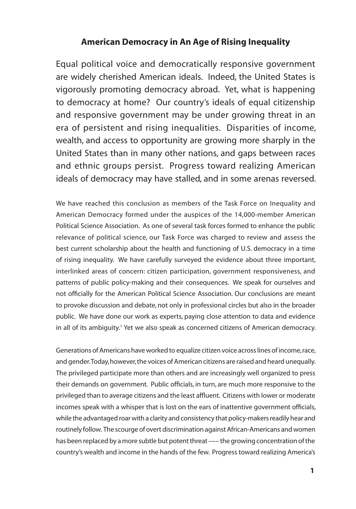Equal political voice and democratically responsive government are widely cherished American ideals. Indeed, the United States is vigorously promoting democracy abroad. Yet, what is happening to democracy at home? Our country's ideals of equal citizenship and responsive government may be under growing threat in an era of persistent and rising inequalities. Disparities of income, wealth, and access to opportunity are growing more sharply in the United States than in many other nations, and gaps between races and ethnic groups persist. Progress toward realizing American ideals of democracy may have stalled, and in some arenas reversed.

We have reached this conclusion as members of the Task Force on Inequality and American Democracy formed under the auspices of the 14,000-member American Political Science Association. As one of several task forces formed to enhance the public relevance of political science, our Task Force was charged to review and assess the best current scholarship about the health and functioning of U.S. democracy in a time of rising inequality. We have carefully surveyed the evidence about three important, interlinked areas of concern: citizen participation, government responsiveness, and patterns of public policy-making and their consequences. We speak for ourselves and not officially for the American Political Science Association. Our conclusions are meant to provoke discussion and debate, not only in professional circles but also in the broader public. We have done our work as experts, paying close attention to data and evidence in all of its ambiguity.<sup>1</sup> Yet we also speak as concerned citizens of American democracy.

Generations of Americans have worked to equalize citizen voice across lines of income, race, and gender. Today, however, the voices of American citizens are raised and heard unequally. The privileged participate more than others and are increasingly well organized to press their demands on government. Public officials, in turn, are much more responsive to the privileged than to average citizens and the least affluent. Citizens with lower or moderate incomes speak with a whisper that is lost on the ears of inattentive government officials, while the advantaged roar with a clarity and consistency that policy-makers readily hear and routinely follow. The scourge of overt discrimination against African-Americans and women has been replaced by a more subtle but potent threat —– the growing concentration of the country's wealth and income in the hands of the few. Progress toward realizing America's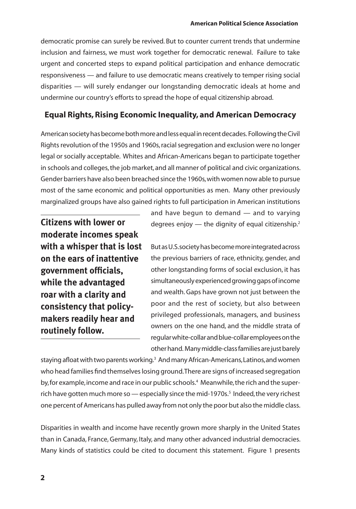democratic promise can surely be revived. But to counter current trends that undermine inclusion and fairness, we must work together for democratic renewal. Failure to take urgent and concerted steps to expand political participation and enhance democratic responsiveness — and failure to use democratic means creatively to temper rising social disparities — will surely endanger our longstanding democratic ideals at home and undermine our country's efforts to spread the hope of equal citizenship abroad.

# **Equal Rights, Rising Economic Inequality, and American Democracy**

American society has become both more and less equal in recent decades. Following the Civil Rights revolution of the 1950s and 1960s, racial segregation and exclusion were no longer legal or socially acceptable. Whites and African-Americans began to participate together in schools and colleges, the job market, and all manner of political and civic organizations. Gender barriers have also been breached since the 1960s, with women now able to pursue most of the same economic and political opportunities as men. Many other previously marginalized groups have also gained rights to full participation in American institutions

**Citizens with lower or moderate incomes speak with a whisper that is lost on the ears of inattentive government officials, while the advantaged roar with a clarity and consistency that policymakers readily hear and routinely follow.**

and have begun to demand — and to varying degrees enjoy  $-$  the dignity of equal citizenship.<sup>2</sup>

But as U.S. society has become more integrated across the previous barriers of race, ethnicity, gender, and other longstanding forms of social exclusion, it has simultaneously experienced growing gaps of income and wealth. Gaps have grown not just between the poor and the rest of society, but also between privileged professionals, managers, and business owners on the one hand, and the middle strata of regular white-collar and blue-collar employees on the other hand. Many middle-class families are just barely

staying afloat with two parents working.<sup>3</sup> And many African-Americans, Latinos, and women who head families find themselves losing ground. There are signs of increased segregation by, for example, income and race in our public schools.4 Meanwhile, the rich and the superrich have gotten much more so — especially since the mid-1970s.<sup>5</sup> Indeed, the very richest one percent of Americans has pulled away from not only the poor but also the middle class.

Disparities in wealth and income have recently grown more sharply in the United States than in Canada, France, Germany, Italy, and many other advanced industrial democracies. Many kinds of statistics could be cited to document this statement. Figure 1 presents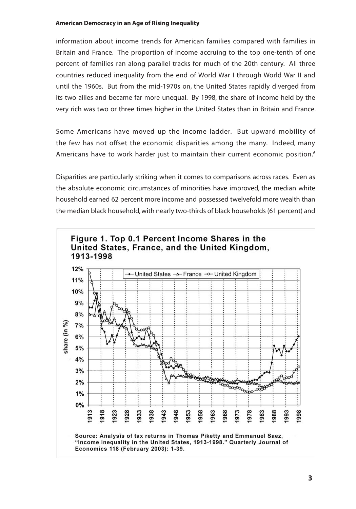information about income trends for American families compared with families in Britain and France. The proportion of income accruing to the top one-tenth of one percent of families ran along parallel tracks for much of the 20th century. All three countries reduced inequality from the end of World War I through World War II and until the 1960s. But from the mid-1970s on, the United States rapidly diverged from its two allies and became far more unequal. By 1998, the share of income held by the very rich was two or three times higher in the United States than in Britain and France.

Some Americans have moved up the income ladder. But upward mobility of the few has not offset the economic disparities among the many. Indeed, many Americans have to work harder just to maintain their current economic position.<sup>6</sup>

Disparities are particularly striking when it comes to comparisons across races. Even as the absolute economic circumstances of minorities have improved, the median white household earned 62 percent more income and possessed twelvefold more wealth than the median black household, with nearly two-thirds of black households (61 percent) and

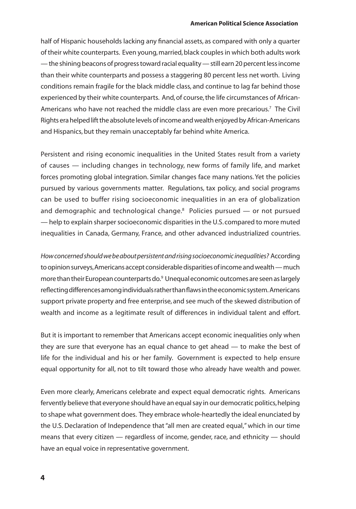#### **American Political Science Association**

half of Hispanic households lacking any financial assets, as compared with only a quarter of their white counterparts. Even young, married, black couples in which both adults work — the shining beacons of progress toward racial equality — still earn 20 percent less income than their white counterparts and possess a staggering 80 percent less net worth. Living conditions remain fragile for the black middle class, and continue to lag far behind those experienced by their white counterparts. And, of course, the life circumstances of African-Americans who have not reached the middle class are even more precarious.<sup>7</sup> The Civil Rights era helped lift the absolute levels of income and wealth enjoyed by African-Americans and Hispanics, but they remain unacceptably far behind white America.

Persistent and rising economic inequalities in the United States result from a variety of causes — including changes in technology, new forms of family life, and market forces promoting global integration. Similar changes face many nations. Yet the policies pursued by various governments matter. Regulations, tax policy, and social programs can be used to buffer rising socioeconomic inequalities in an era of globalization and demographic and technological change.<sup>8</sup> Policies pursued — or not pursued — help to explain sharper socioeconomic disparities in the U.S. compared to more muted inequalities in Canada, Germany, France, and other advanced industrialized countries.

*How concerned should we be about persistent and rising socioeconomic inequalities?* According to opinion surveys, Americans accept considerable disparities of income and wealth — much more than their European counterparts do.<sup>9</sup> Unequal economic outcomes are seen as largely reflecting differences among individuals rather than flaws in the economic system. Americans support private property and free enterprise, and see much of the skewed distribution of wealth and income as a legitimate result of differences in individual talent and effort.

But it is important to remember that Americans accept economic inequalities only when they are sure that everyone has an equal chance to get ahead — to make the best of life for the individual and his or her family. Government is expected to help ensure equal opportunity for all, not to tilt toward those who already have wealth and power.

Even more clearly, Americans celebrate and expect equal democratic rights. Americans fervently believe that everyone should have an equal say in our democratic politics, helping to shape what government does. They embrace whole-heartedly the ideal enunciated by the U.S. Declaration of Independence that "all men are created equal," which in our time means that every citizen — regardless of income, gender, race, and ethnicity — should have an equal voice in representative government.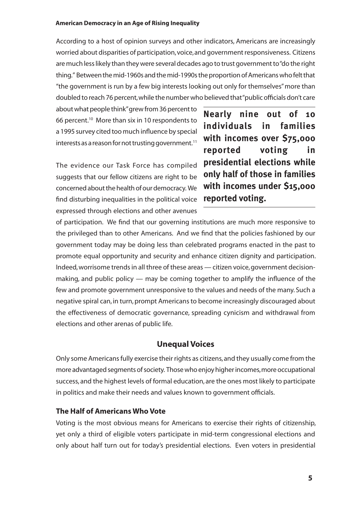According to a host of opinion surveys and other indicators, Americans are increasingly worried about disparities of participation, voice, and government responsiveness. Citizens are much less likely than they were several decades ago to trust government to "do the right thing." Between the mid-1960s and the mid-1990s the proportion of Americans who felt that "the government is run by a few big interests looking out only for themselves" more than doubled to reach 76 percent, while the number who believed that "public officials don't care

about what people think" grew from 36 percent to 66 percent.10 More than six in 10 respondents to a 1995 survey cited too much influence by special interests as a reason for not trusting government.<sup>11</sup>

The evidence our Task Force has compiled suggests that our fellow citizens are right to be concerned about the health of our democracy. We find disturbing inequalities in the political voice expressed through elections and other avenues

**Nearly nine out of 10 individuals in families with incomes over \$75,000 reported voting in presidential elections while only half of those in families with incomes under \$15,000 reported voting.** 

of participation. We find that our governing institutions are much more responsive to the privileged than to other Americans. And we find that the policies fashioned by our government today may be doing less than celebrated programs enacted in the past to promote equal opportunity and security and enhance citizen dignity and participation. Indeed, worrisome trends in all three of these areas — citizen voice, government decisionmaking, and public policy — may be coming together to amplify the influence of the few and promote government unresponsive to the values and needs of the many. Such a negative spiral can, in turn, prompt Americans to become increasingly discouraged about the effectiveness of democratic governance, spreading cynicism and withdrawal from elections and other arenas of public life.

# **Unequal Voices**

Only some Americans fully exercise their rights as citizens, and they usually come from the more advantaged segments of society. Those who enjoy higher incomes, more occupational success, and the highest levels of formal education, are the ones most likely to participate in politics and make their needs and values known to government officials.

# **The Half of Americans Who Vote**

Voting is the most obvious means for Americans to exercise their rights of citizenship, yet only a third of eligible voters participate in mid-term congressional elections and only about half turn out for today's presidential elections. Even voters in presidential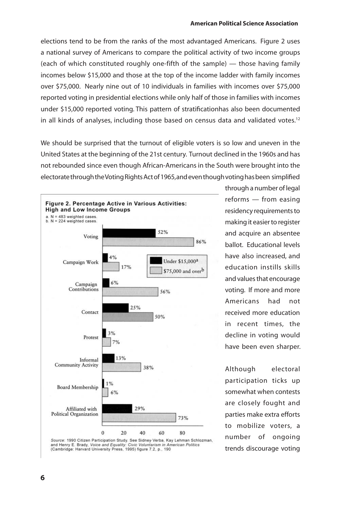#### **American Political Science Association**

elections tend to be from the ranks of the most advantaged Americans. Figure 2 uses a national survey of Americans to compare the political activity of two income groups (each of which constituted roughly one-fifth of the sample) — those having family incomes below \$15,000 and those at the top of the income ladder with family incomes over \$75,000. Nearly nine out of 10 individuals in families with incomes over \$75,000 reported voting in presidential elections while only half of those in families with incomes under \$15,000 reported voting. This pattern of stratificationhas also been documented in all kinds of analyses, including those based on census data and validated votes.<sup>12</sup>

We should be surprised that the turnout of eligible voters is so low and uneven in the United States at the beginning of the 21st century. Turnout declined in the 1960s and has not rebounded since even though African-Americans in the South were brought into the electorate through the Voting Rights Act of 1965, and even though voting has been simplified



through a number of legal reforms — from easing residency requirements to making it easier to register and acquire an absentee ballot. Educational levels have also increased, and education instills skills and values that encourage voting. If more and more Americans had not received more education in recent times, the decline in voting would have been even sharper.

Although electoral participation ticks up somewhat when contests are closely fought and parties make extra efforts to mobilize voters, a number of ongoing trends discourage voting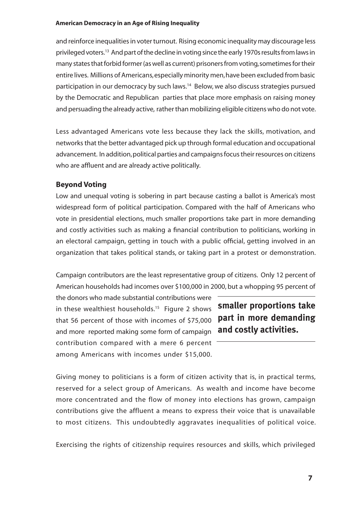and reinforce inequalities in voter turnout. Rising economic inequality may discourage less privileged voters.13 And part of the decline in voting since the early 1970s results from laws in many states that forbid former (as well as current) prisoners from voting, sometimes for their entire lives. Millions of Americans, especially minority men, have been excluded from basic participation in our democracy by such laws.14 Below, we also discuss strategies pursued by the Democratic and Republican parties that place more emphasis on raising money and persuading the already active, rather than mobilizing eligible citizens who do not vote.

Less advantaged Americans vote less because they lack the skills, motivation, and networks that the better advantaged pick up through formal education and occupational advancement. In addition, political parties and campaigns focus their resources on citizens who are affluent and are already active politically.

# **Beyond Voting**

Low and unequal voting is sobering in part because casting a ballot is America's most widespread form of political participation. Compared with the half of Americans who vote in presidential elections, much smaller proportions take part in more demanding and costly activities such as making a financial contribution to politicians, working in an electoral campaign, getting in touch with a public official, getting involved in an organization that takes political stands, or taking part in a protest or demonstration.

Campaign contributors are the least representative group of citizens. Only 12 percent of American households had incomes over \$100,000 in 2000, but a whopping 95 percent of

the donors who made substantial contributions were in these wealthiest households.<sup>15</sup> Figure 2 shows that 56 percent of those with incomes of \$75,000 and more reported making some form of campaign contribution compared with a mere 6 percent among Americans with incomes under \$15,000.

**smaller proportions take part in more demanding and costly activities.**

Giving money to politicians is a form of citizen activity that is, in practical terms, reserved for a select group of Americans. As wealth and income have become more concentrated and the flow of money into elections has grown, campaign contributions give the affluent a means to express their voice that is unavailable to most citizens. This undoubtedly aggravates inequalities of political voice.

Exercising the rights of citizenship requires resources and skills, which privileged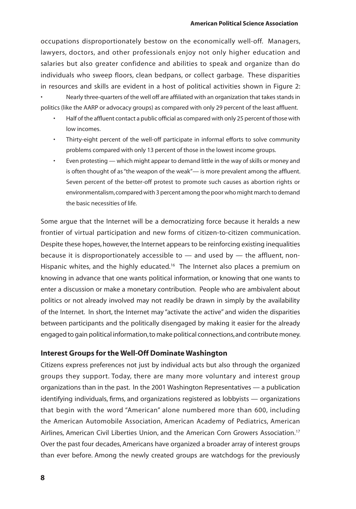occupations disproportionately bestow on the economically well-off. Managers, lawyers, doctors, and other professionals enjoy not only higher education and salaries but also greater confidence and abilities to speak and organize than do individuals who sweep floors, clean bedpans, or collect garbage. These disparities in resources and skills are evident in a host of political activities shown in Figure 2:

• Nearly three-quarters of the well off are affiliated with an organization that takes stands in politics (like the AARP or advocacy groups) as compared with only 29 percent of the least affluent.

- Half of the affluent contact a public official as compared with only 25 percent of those with low incomes.
- Thirty-eight percent of the well-off participate in informal efforts to solve community problems compared with only 13 percent of those in the lowest income groups.
- Even protesting which might appear to demand little in the way of skills or money and is often thought of as "the weapon of the weak"— is more prevalent among the affluent. Seven percent of the better-off protest to promote such causes as abortion rights or environmentalism, compared with 3 percent among the poor who might march to demand the basic necessities of life.

Some argue that the Internet will be a democratizing force because it heralds a new frontier of virtual participation and new forms of citizen-to-citizen communication. Despite these hopes, however, the Internet appears to be reinforcing existing inequalities because it is disproportionately accessible to — and used by — the affluent, non-Hispanic whites, and the highly educated.<sup>16</sup> The Internet also places a premium on knowing in advance that one wants political information, or knowing that one wants to enter a discussion or make a monetary contribution. People who are ambivalent about politics or not already involved may not readily be drawn in simply by the availability of the Internet. In short, the Internet may "activate the active" and widen the disparities between participants and the politically disengaged by making it easier for the already engaged to gain political information, to make political connections, and contribute money.

# **Interest Groups for the Well-Off Dominate Washington**

Citizens express preferences not just by individual acts but also through the organized groups they support. Today, there are many more voluntary and interest group organizations than in the past. In the 2001 Washington Representatives — a publication identifying individuals, firms, and organizations registered as lobbyists — organizations that begin with the word "American" alone numbered more than 600, including the American Automobile Association, American Academy of Pediatrics, American Airlines, American Civil Liberties Union, and the American Corn Growers Association.17 Over the past four decades, Americans have organized a broader array of interest groups than ever before. Among the newly created groups are watchdogs for the previously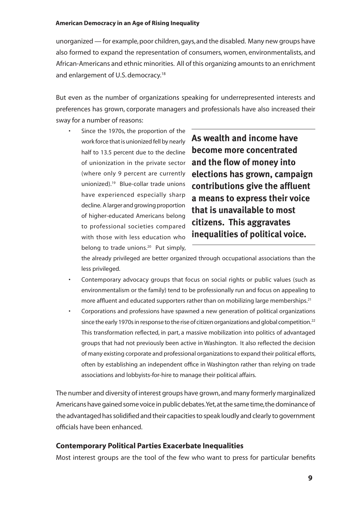unorganized — for example, poor children, gays, and the disabled. Many new groups have also formed to expand the representation of consumers, women, environmentalists, and African-Americans and ethnic minorities. All of this organizing amounts to an enrichment and enlargement of U.S. democracy.<sup>18</sup>

But even as the number of organizations speaking for underrepresented interests and preferences has grown, corporate managers and professionals have also increased their sway for a number of reasons:

Since the 1970s, the proportion of the work force that is unionized fell by nearly half to 13.5 percent due to the decline of unionization in the private sector (where only 9 percent are currently unionized).19 Blue-collar trade unions have experienced especially sharp decline. A larger and growing proportion of higher-educated Americans belong to professional societies compared with those with less education who belong to trade unions.<sup>20</sup> Put simply,

**As wealth and income have become more concentrated and the flow of money into elections has grown, campaign contributions give the affluent a means to express their voice that is unavailable to most citizens. This aggravates inequalities of political voice.**

the already privileged are better organized through occupational associations than the less privileged.

- Contemporary advocacy groups that focus on social rights or public values (such as environmentalism or the family) tend to be professionally run and focus on appealing to more affluent and educated supporters rather than on mobilizing large memberships.<sup>21</sup>
- Corporations and professions have spawned a new generation of political organizations since the early 1970s in response to the rise of citizen organizations and global competition.<sup>22</sup> This transformation reflected, in part, a massive mobilization into politics of advantaged groups that had not previously been active in Washington. It also reflected the decision of many existing corporate and professional organizations to expand their political efforts, often by establishing an independent office in Washington rather than relying on trade associations and lobbyists-for-hire to manage their political affairs.

The number and diversity of interest groups have grown, and many formerly marginalized Americans have gained some voice in public debates. Yet, at the same time, the dominance of the advantaged has solidified and their capacities to speak loudly and clearly to government officials have been enhanced.

# **Contemporary Political Parties Exacerbate Inequalities**

Most interest groups are the tool of the few who want to press for particular benefits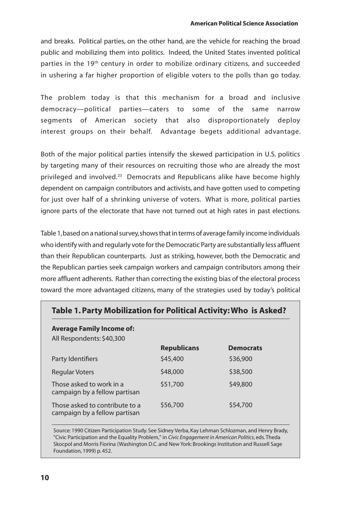#### **American Political Science Association**

and breaks. Political parties, on the other hand, are the vehicle for reaching the broad public and mobilizing them into politics. Indeed, the United States invented political parties in the 19<sup>th</sup> century in order to mobilize ordinary citizens, and succeeded in ushering a far higher proportion of eligible voters to the polls than go today.

The problem today is that this mechanism for a broad and inclusive democracy—political parties—caters to some of the same narrow segments of American society that also disproportionately deploy interest groups on their behalf. Advantage begets additional advantage.

Both of the major political parties intensify the skewed participation in U.S. politics by targeting many of their resources on recruiting those who are already the most privileged and involved.<sup>23</sup> Democrats and Republicans alike have become highly dependent on campaign contributors and activists, and have gotten used to competing for just over half of a shrinking universe of voters. What is more, political parties ignore parts of the electorate that have not turned out at high rates in past elections.

Table 1, based on a national survey, shows that in terms of average family income individuals who identify with and regularly vote for the Democratic Party are substantially less affluent than their Republican counterparts. Just as striking, however, both the Democratic and the Republican parties seek campaign workers and campaign contributors among their more affluent adherents. Rather than correcting the existing bias of the electoral process toward the more advantaged citizens, many of the strategies used by today's political

| Table 1. Party Mobilization for Political Activity: Who is Asked? |                    |                  |
|-------------------------------------------------------------------|--------------------|------------------|
| <b>Average Family Income of:</b><br>All Respondents: \$40,300     |                    |                  |
|                                                                   | <b>Republicans</b> | <b>Democrats</b> |
| Party Identifiers                                                 | \$45,400           | \$36,900         |
| Regular Voters                                                    | \$48,000           | \$38,500         |
| Those asked to work in a<br>campaign by a fellow partisan         | \$51,700           | \$49,800         |
| Those asked to contribute to a<br>campaign by a fellow partisan   | \$56,700           | \$54,700         |

#### Source: 1990 Citizen Participation Study. See Sidney Verba, Kay Lehman Schlozman, and Henry Brady, "Civic Participation and the Equality Problem," in *Civic Engagement in American Politics*, eds. Theda Skocpol and Morris Fiorina (Washington D.C. and New York: Brookings Institution and Russell Sage Foundation, 1999) p. 452.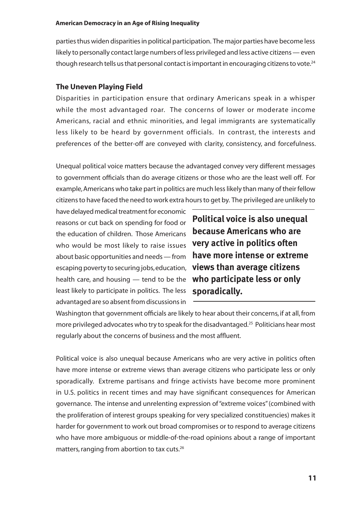parties thus widen disparities in political participation. The major parties have become less likely to personally contact large numbers of less privileged and less active citizens — even though research tells us that personal contact is important in encouraging citizens to vote.<sup>24</sup>

### **The Uneven Playing Field**

Disparities in participation ensure that ordinary Americans speak in a whisper while the most advantaged roar. The concerns of lower or moderate income Americans, racial and ethnic minorities, and legal immigrants are systematically less likely to be heard by government officials. In contrast, the interests and preferences of the better-off are conveyed with clarity, consistency, and forcefulness.

Unequal political voice matters because the advantaged convey very different messages to government officials than do average citizens or those who are the least well off. For example, Americans who take part in politics are much less likely than many of their fellow citizens to have faced the need to work extra hours to get by. The privileged are unlikely to

have delayed medical treatment for economic reasons or cut back on spending for food or the education of children. Those Americans who would be most likely to raise issues **very active in politics often**  about basic opportunities and needs — from escaping poverty to securing jobs, education, **views than average citizens**  health care, and housing — tend to be the **who participate less or only**  least likely to participate in politics. The less **sporadically.** advantaged are so absent from discussions in

**Political voice is also unequal because Americans who are have more intense or extreme** 

Washington that government officials are likely to hear about their concerns, if at all, from more privileged advocates who try to speak for the disadvantaged.<sup>25</sup> Politicians hear most regularly about the concerns of business and the most affluent.

Political voice is also unequal because Americans who are very active in politics often have more intense or extreme views than average citizens who participate less or only sporadically. Extreme partisans and fringe activists have become more prominent in U.S. politics in recent times and may have significant consequences for American governance. The intense and unrelenting expression of "extreme voices" (combined with the proliferation of interest groups speaking for very specialized constituencies) makes it harder for government to work out broad compromises or to respond to average citizens who have more ambiguous or middle-of-the-road opinions about a range of important matters, ranging from abortion to tax cuts.26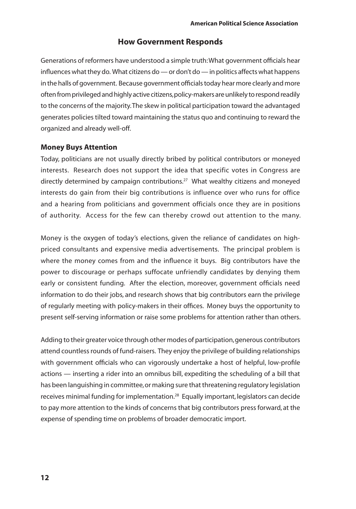# **How Government Responds**

Generations of reformers have understood a simple truth: What government officials hear influences what they do. What citizens do — or don't do — in politics affects what happens in the halls of government. Because government officials today hear more clearly and more often from privileged and highly active citizens, policy-makers are unlikely to respond readily to the concerns of the majority. The skew in political participation toward the advantaged generates policies tilted toward maintaining the status quo and continuing to reward the organized and already well-off.

# **Money Buys Attention**

Today, politicians are not usually directly bribed by political contributors or moneyed interests. Research does not support the idea that specific votes in Congress are directly determined by campaign contributions.27 What wealthy citizens and moneyed interests do gain from their big contributions is influence over who runs for office and a hearing from politicians and government officials once they are in positions of authority. Access for the few can thereby crowd out attention to the many.

Money is the oxygen of today's elections, given the reliance of candidates on highpriced consultants and expensive media advertisements. The principal problem is where the money comes from and the influence it buys. Big contributors have the power to discourage or perhaps suffocate unfriendly candidates by denying them early or consistent funding. After the election, moreover, government officials need information to do their jobs, and research shows that big contributors earn the privilege of regularly meeting with policy-makers in their offices. Money buys the opportunity to present self-serving information or raise some problems for attention rather than others.

Adding to their greater voice through other modes of participation, generous contributors attend countless rounds of fund-raisers. They enjoy the privilege of building relationships with government officials who can vigorously undertake a host of helpful, low-profile actions — inserting a rider into an omnibus bill, expediting the scheduling of a bill that has been languishing in committee, or making sure that threatening regulatory legislation receives minimal funding for implementation.28 Equally important, legislators can decide to pay more attention to the kinds of concerns that big contributors press forward, at the expense of spending time on problems of broader democratic import.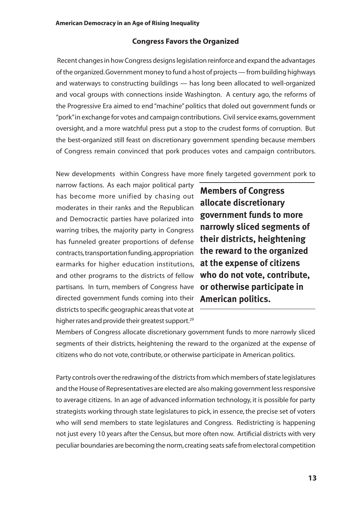### **Congress Favors the Organized**

Recent changes in how Congress designs legislation reinforce and expand the advantages of the organized. Government money to fund a host of projects — from building highways and waterways to constructing buildings — has long been allocated to well-organized and vocal groups with connections inside Washington. A century ago, the reforms of the Progressive Era aimed to end "machine" politics that doled out government funds or "pork" in exchange for votes and campaign contributions. Civil service exams, government oversight, and a more watchful press put a stop to the crudest forms of corruption. But the best-organized still feast on discretionary government spending because members of Congress remain convinced that pork produces votes and campaign contributors.

New developments within Congress have more finely targeted government pork to

narrow factions. As each major political party has become more unified by chasing out moderates in their ranks and the Republican and Democractic parties have polarized into warring tribes, the majority party in Congress has funneled greater proportions of defense contracts, transportation funding, appropriation earmarks for higher education institutions, and other programs to the districts of fellow partisans. In turn, members of Congress have directed government funds coming into their districts to specific geographic areas that vote at higher rates and provide their greatest support.<sup>29</sup>

**Members of Congress allocate discretionary government funds to more narrowly sliced segments of their districts, heightening the reward to the organized at the expense of citizens who do not vote, contribute, or otherwise participate in American politics.** 

Members of Congress allocate discretionary government funds to more narrowly sliced segments of their districts, heightening the reward to the organized at the expense of citizens who do not vote, contribute, or otherwise participate in American politics.

Party controls over the redrawing of the districts from which members of state legislatures and the House of Representatives are elected are also making government less responsive to average citizens. In an age of advanced information technology, it is possible for party strategists working through state legislatures to pick, in essence, the precise set of voters who will send members to state legislatures and Congress. Redistricting is happening not just every 10 years after the Census, but more often now. Artificial districts with very peculiar boundaries are becoming the norm, creating seats safe from electoral competition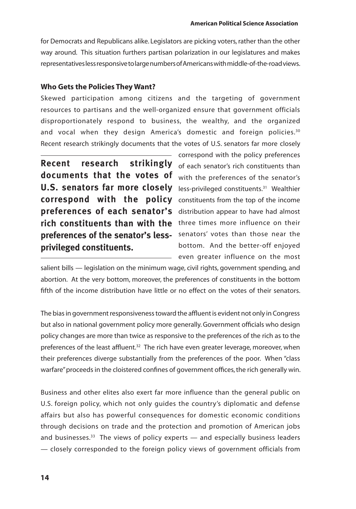for Democrats and Republicans alike. Legislators are picking voters, rather than the other way around. This situation furthers partisan polarization in our legislatures and makes representatives less responsive to large numbers of Americans with middle-of-the-road views.

# **Who Gets the Policies They Want?**

Skewed participation among citizens and the targeting of government resources to partisans and the well-organized ensure that government officials disproportionately respond to business, the wealthy, and the organized and vocal when they design America's domestic and foreign policies.<sup>30</sup> Recent research strikingly documents that the votes of U.S. senators far more closely

**Recent research strikingly** of each senator's rich constituents than U.S. senators far more closely less-privileged constituents.<sup>31</sup> Wealthier correspond with the policy constituents from the top of the income preferences of each senator's distribution appear to have had almost rich constituents than with the three times more influence on their preferences of the senator's less- senators' votes than those near the **documents that the votes of privileged constituents.**

correspond with the policy preferences with the preferences of the senator's bottom. And the better-off enjoyed - even greater influence on the most

salient bills — legislation on the minimum wage, civil rights, government spending, and abortion. At the very bottom, moreover, the preferences of constituents in the bottom fifth of the income distribution have little or no effect on the votes of their senators.

The bias in government responsiveness toward the affluent is evident not only in Congress but also in national government policy more generally. Government officials who design policy changes are more than twice as responsive to the preferences of the rich as to the preferences of the least affluent.<sup>32</sup> The rich have even greater leverage, moreover, when their preferences diverge substantially from the preferences of the poor. When "class warfare" proceeds in the cloistered confines of government offices, the rich generally win.

Business and other elites also exert far more influence than the general public on U.S. foreign policy, which not only guides the country's diplomatic and defense affairs but also has powerful consequences for domestic economic conditions through decisions on trade and the protection and promotion of American jobs and businesses. $33$  The views of policy experts  $-$  and especially business leaders — closely corresponded to the foreign policy views of government officials from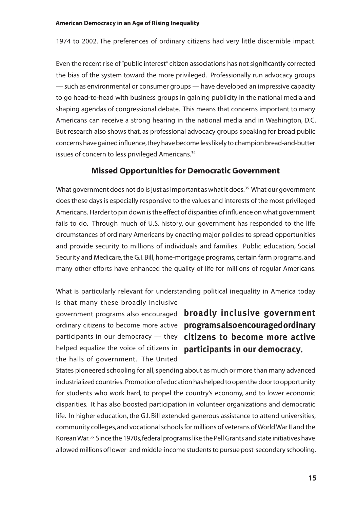1974 to 2002. The preferences of ordinary citizens had very little discernible impact.

Even the recent rise of "public interest" citizen associations has not significantly corrected the bias of the system toward the more privileged. Professionally run advocacy groups — such as environmental or consumer groups — have developed an impressive capacity to go head-to-head with business groups in gaining publicity in the national media and shaping agendas of congressional debate. This means that concerns important to many Americans can receive a strong hearing in the national media and in Washington, D.C. But research also shows that, as professional advocacy groups speaking for broad public concerns have gained influence, they have become less likely to champion bread-and-butter issues of concern to less privileged Americans.<sup>34</sup>

# **Missed Opportunities for Democratic Government**

What government does not do is just as important as what it does.<sup>35</sup> What our government does these days is especially responsive to the values and interests of the most privileged Americans. Harder to pin down is the effect of disparities of influence on what government fails to do. Through much of U.S. history, our government has responded to the life circumstances of ordinary Americans by enacting major policies to spread opportunities and provide security to millions of individuals and families. Public education, Social Security and Medicare, the G.I. Bill, home-mortgage programs, certain farm programs, and many other efforts have enhanced the quality of life for millions of regular Americans.

What is particularly relevant for understanding political inequality in America today

is that many these broadly inclusive helped equalize the voice of citizens in **participants in our democracy.**the halls of government. The United

government programs also encouraged **broadly inclusive government**  ordinary citizens to become more active **programs also encouraged ordinary**  participants in our democracy — they **citizens to become more active** 

States pioneered schooling for all, spending about as much or more than many advanced industrialized countries. Promotion of education has helped to open the door to opportunity for students who work hard, to propel the country's economy, and to lower economic disparities. It has also boosted participation in volunteer organizations and democratic life. In higher education, the G.I. Bill extended generous assistance to attend universities, community colleges, and vocational schools for millions of veterans of World War II and the Korean War.36 Since the 1970s, federal programs like the Pell Grants and state initiatives have allowed millions of lower- and middle-income students to pursue post-secondary schooling.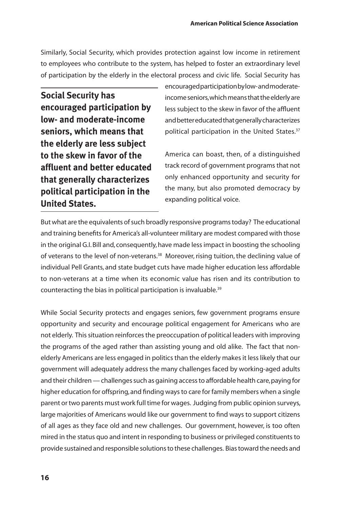Similarly, Social Security, which provides protection against low income in retirement to employees who contribute to the system, has helped to foster an extraordinary level of participation by the elderly in the electoral process and civic life. Social Security has

**Social Security has encouraged participation by low- and moderate-income seniors, which means that the elderly are less subject to the skew in favor of the affluent and better educated that generally characterizes political participation in the United States.**

encouraged participation by low- and moderateincome seniors, which means that the elderly are less subject to the skew in favor of the affluent and better educated that generally characterizes political participation in the United States.<sup>37</sup>

America can boast, then, of a distinguished track record of government programs that not only enhanced opportunity and security for the many, but also promoted democracy by expanding political voice.

But what are the equivalents of such broadly responsive programs today? The educational and training benefits for America's all-volunteer military are modest compared with those in the original G.I. Bill and, consequently, have made less impact in boosting the schooling of veterans to the level of non-veterans.<sup>38</sup> Moreover, rising tuition, the declining value of individual Pell Grants, and state budget cuts have made higher education less affordable to non-veterans at a time when its economic value has risen and its contribution to counteracting the bias in political participation is invaluable.39

While Social Security protects and engages seniors, few government programs ensure opportunity and security and encourage political engagement for Americans who are not elderly. This situation reinforces the preoccupation of political leaders with improving the programs of the aged rather than assisting young and old alike. The fact that nonelderly Americans are less engaged in politics than the elderly makes it less likely that our government will adequately address the many challenges faced by working-aged adults and their children — challenges such as gaining access to affordable health care, paying for higher education for offspring, and finding ways to care for family members when a single parent or two parents must work full time for wages. Judging from public opinion surveys, large majorities of Americans would like our government to find ways to support citizens of all ages as they face old and new challenges. Our government, however, is too often mired in the status quo and intent in responding to business or privileged constituents to provide sustained and responsible solutions to these challenges. Bias toward the needs and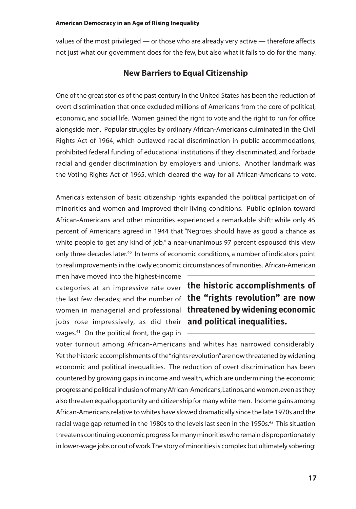values of the most privileged — or those who are already very active — therefore affects not just what our government does for the few, but also what it fails to do for the many.

# **New Barriers to Equal Citizenship**

One of the great stories of the past century in the United States has been the reduction of overt discrimination that once excluded millions of Americans from the core of political, economic, and social life. Women gained the right to vote and the right to run for office alongside men. Popular struggles by ordinary African-Americans culminated in the Civil Rights Act of 1964, which outlawed racial discrimination in public accommodations, prohibited federal funding of educational institutions if they discriminated, and forbade racial and gender discrimination by employers and unions. Another landmark was the Voting Rights Act of 1965, which cleared the way for all African-Americans to vote.

America's extension of basic citizenship rights expanded the political participation of minorities and women and improved their living conditions. Public opinion toward African-Americans and other minorities experienced a remarkable shift: while only 45 percent of Americans agreed in 1944 that "Negroes should have as good a chance as white people to get any kind of job," a near-unanimous 97 percent espoused this view only three decades later.40 In terms of economic conditions, a number of indicators point to real improvements in the lowly economic circumstances of minorities. African-American

men have moved into the highest-income jobs rose impressively, as did their **and political inequalities.**wages.<sup>41</sup> On the political front, the gap in  $-$ 

categories at an impressive rate over **the historic accomplishments of**  the last few decades; and the number of **the "rights revolution" are now**  women in managerial and professional **threatened by widening economic** 

voter turnout among African-Americans and whites has narrowed considerably. Yet the historic accomplishments of the "rights revolution" are now threatened by widening economic and political inequalities. The reduction of overt discrimination has been countered by growing gaps in income and wealth, which are undermining the economic progress and political inclusion of many African-Americans, Latinos, and women, even as they also threaten equal opportunity and citizenship for many white men. Income gains among African-Americans relative to whites have slowed dramatically since the late 1970s and the racial wage gap returned in the 1980s to the levels last seen in the 1950s.<sup>42</sup> This situation threatens continuing economic progress for many minorities who remain disproportionately in lower-wage jobs or out of work. The story of minorities is complex but ultimately sobering: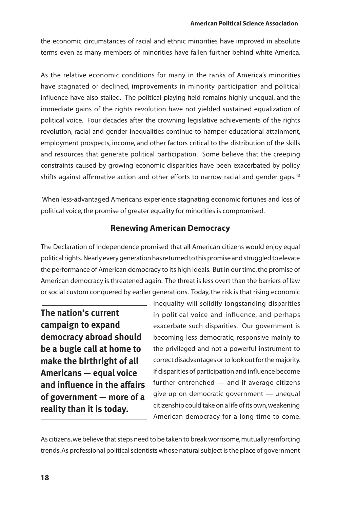the economic circumstances of racial and ethnic minorities have improved in absolute terms even as many members of minorities have fallen further behind white America.

As the relative economic conditions for many in the ranks of America's minorities have stagnated or declined, improvements in minority participation and political influence have also stalled. The political playing field remains highly unequal, and the immediate gains of the rights revolution have not yielded sustained equalization of political voice. Four decades after the crowning legislative achievements of the rights revolution, racial and gender inequalities continue to hamper educational attainment, employment prospects, income, and other factors critical to the distribution of the skills and resources that generate political participation. Some believe that the creeping constraints caused by growing economic disparities have been exacerbated by policy shifts against affirmative action and other efforts to narrow racial and gender gaps.<sup>43</sup>

 When less-advantaged Americans experience stagnating economic fortunes and loss of political voice, the promise of greater equality for minorities is compromised.

# **Renewing American Democracy**

The Declaration of Independence promised that all American citizens would enjoy equal political rights. Nearly every generation has returned to this promise and struggled to elevate the performance of American democracy to its high ideals. But in our time, the promise of American democracy is threatened again. The threat is less overt than the barriers of law or social custom conquered by earlier generations. Today, the risk is that rising economic

**The nation's current campaign to expand democracy abroad should be a bugle call at home to make the birthright of all Americans — equal voice and influence in the affairs of government — more of a reality than it is today.** 

inequality will solidify longstanding disparities in political voice and influence, and perhaps exacerbate such disparities. Our government is becoming less democratic, responsive mainly to the privileged and not a powerful instrument to correct disadvantages or to look out for the majority. If disparities of participation and influence become further entrenched — and if average citizens give up on democratic government — unequal citizenship could take on a life of its own, weakening American democracy for a long time to come.

As citizens, we believe that steps need to be taken to break worrisome, mutually reinforcing trends. As professional political scientists whose natural subject is the place of government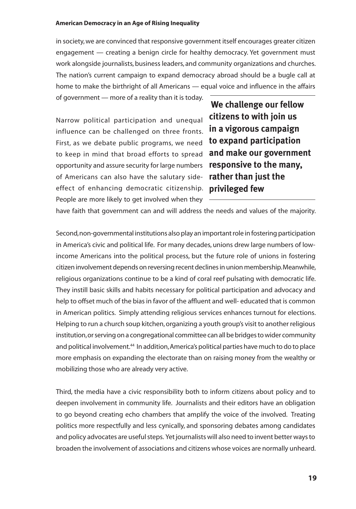in society, we are convinced that responsive government itself encourages greater citizen engagement — creating a benign circle for healthy democracy. Yet government must work alongside journalists, business leaders, and community organizations and churches. The nation's current campaign to expand democracy abroad should be a bugle call at home to make the birthright of all Americans — equal voice and influence in the affairs

of government — more of a reality than it is today.

Narrow political participation and unequal influence can be challenged on three fronts. First, as we debate public programs, we need to keep in mind that broad efforts to spread opportunity and assure security for large numbers of Americans can also have the salutary sideeffect of enhancing democratic citizenship. People are more likely to get involved when they

 **We challenge our fellow citizens to with join us in a vigorous campaign to expand participation and make our government responsive to the many, rather than just the privileged few**

have faith that government can and will address the needs and values of the majority.

Second, non-governmental institutions also play an important role in fostering participation in America's civic and political life. For many decades, unions drew large numbers of lowincome Americans into the political process, but the future role of unions in fostering citizen involvement depends on reversing recent declines in union membership. Meanwhile, religious organizations continue to be a kind of coral reef pulsating with democratic life. They instill basic skills and habits necessary for political participation and advocacy and help to offset much of the bias in favor of the affluent and well- educated that is common in American politics. Simply attending religious services enhances turnout for elections. Helping to run a church soup kitchen, organizing a youth group's visit to another religious institution, or serving on a congregational committee can all be bridges to wider community and political involvement.<sup>44</sup> In addition, America's political parties have much to do to place more emphasis on expanding the electorate than on raising money from the wealthy or mobilizing those who are already very active.

Third, the media have a civic responsibility both to inform citizens about policy and to deepen involvement in community life. Journalists and their editors have an obligation to go beyond creating echo chambers that amplify the voice of the involved. Treating politics more respectfully and less cynically, and sponsoring debates among candidates and policy advocates are useful steps. Yet journalists will also need to invent better ways to broaden the involvement of associations and citizens whose voices are normally unheard.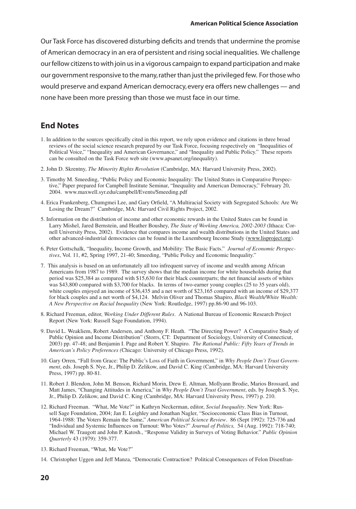Our Task Force has discovered disturbing deficits and trends that undermine the promise of American democracy in an era of persistent and rising social inequalities. We challenge our fellow citizens to with join us in a vigorous campaign to expand participation and make our government responsive to the many, rather than just the privileged few. For those who would preserve and expand American democracy, every era offers new challenges — and none have been more pressing than those we must face in our time.

# **End Notes**

- 1. In addition to the sources specifically cited in this report, we rely upon evidence and citations in three broad reviews of the social science research prepared by our Task Force, focusing respectively on "Inequalities of Political Voice," "Inequality and American Governance," and "Inequality and Public Policy." These reports can be consulted on the Task Force web site (www.apsanet.org/inequality).
- 2. John D. Skrentny, *The Minority Rights Revolution* (Cambridge, MA: Harvard University Press, 2002).
- 3. Timothy M. Smeeding, "Public Policy and Economic Inequality: The United States in Comparative Perspective," Paper prepared for Campbell Institute Seminar, "Inequality and American Democracy," February 20, 2004. www.maxwell.syr.edu/campbell/Events/Smeeding.pdf
- 4. Erica Frankenberg, Chumgmei Lee, and Gary Orfield, "A Multiracial Society with Segregated Schools: Are We Losing the Dream?" Cambridge, MA: Harvard Civil Rights Project, 2002.
- 5. Information on the distribution of income and other economic rewards in the United States can be found in Larry Mishel, Jared Bernstein, and Heather Boushey, *The State of Working America, 2002-2003* (Ithaca: Cornell University Press, 2002). Evidence that compares income and wealth distributions in the United States and other advanced-industrial democracies can be found in the Luxembourg Income Study (www.lisproject.org).
- 6. Peter Gottschalk, "Inequality, Income Growth, and Mobility: The Basic Facts." *Journal of Economic Perspectives*, Vol. 11, #2, Spring 1997, 21-40; Smeeding, "Public Policy and Economic Inequality."
- 7. This analysis is based on an unfortunately all too infrequent survey of income and wealth among African Americans from 1987 to 1989. The survey shows that the median income for white households during that period was \$25,384 as compared with \$15,630 for their black counterparts; the net financial assets of whites was \$43,800 compared with \$3,700 for blacks. In terms of two-earner young couples (25 to 35 years old), white couples enjoyed an income of \$36,435 and a net worth of \$23,165 compared with an income of \$29,377 for black couples and a net worth of \$4,124. Melvin Oliver and Thomas Shapiro, *Black Wealth/White Wealth: A New Perspective on Racial Inequality* (New York: Routledge, 1997) pp.86-90 and 96-103.
- 8. Richard Freeman, editor, *Working Under Different Rules*. A National Bureau of Economic Research Project Report (New York: Russell Sage Foundation, 1994).
- 9. David L. Weakliem, Robert Andersen, and Anthony F. Heath. "The Directing Power? A Comparative Study of Public Opinion and Income Distribution" (Storrs, CT: Department of Sociology, University of Connecticut, 2003) pp. 47-48; and Benjamin I. Page and Robert Y. Shapiro. *The Rational Public: Fifty Years of Trends in American's Policy Preferences (*Chicago: University of Chicago Press, 1992).
- 10. Gary Orren, "Fall from Grace: The Public's Loss of Faith in Government," in *Why People Don't Trust Government*, eds. Joseph S. Nye, Jr., Philip D. Zelikow, and David C. King (Cambridge, MA: Harvard University Press, 1997) pp. 80-81.
- 11. Robert J. Blendon, John M. Benson, Richard Morin, Drew E. Altman, Mollyann Brodie, Marios Brossard, and Matt James, "Changing Attitudes in America," in *Why People Don't Trust Government*, eds. by Joseph S. Nye, Jr., Philip D. Zelikow, and David C. King (Cambridge, MA: Harvard University Press, 1997) p. 210.
- 12. Richard Freeman. "What, Me Vote?" in Kathryn Neckerman, editor, *Social Inequality*. New York: Russell Sage Foundation, 2004; Jan E. Leighley and Jonathan Nagler, "Socioeconomic Class Bias in Turnout, 1964-1988: The Voters Remain the Same," *American Political Science Review*. 86 (Sept 1992): 725-736 and "Individual and Systemic Influences on Turnout: Who Votes?" *Journal of Politics,* 54 (Aug. 1992): 718-740; Michael W. Traugott and John P. Katosh., "Response Validity in Surveys of Voting Behavior." *Public Opinion Quarterly* 43 (1979): 359-377.
- 13. Richard Freeman, "What, Me Vote?"
- 14. Christopher Uggen and Jeff Manza, "Democratic Contraction? Political Consequences of Felon Disenfran-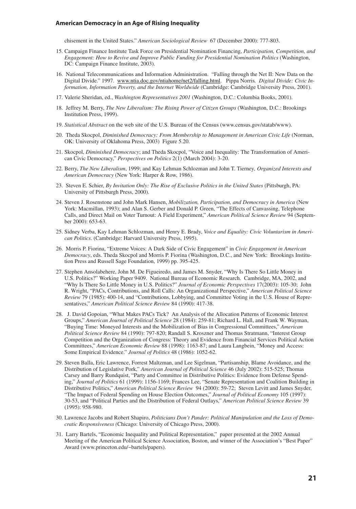chisement in the United States." *American Sociological Review* 67 (December 2000): 777-803.

- 15. Campaign Finance Institute Task Force on Presidential Nomination Financing, *Participation, Competition, and Engagement: How to Revive and Improve Public Funding for Presidential Nomination Politics* (Washington, DC: Campaign Finance Institute, 2003).
- 16. National Telecommunications and Information Administration. "Falling through the Net II: New Data on the Digital Divide." 1997. www.ntia.doc.gov/ntiahome/net2/falling.html. Pippa Norris*. Digital Divide: Civic Information, Information Poverty, and the Internet Worldwide* (Cambridge: Cambridge University Press, 2001).
- 17. Valerie Sheridan, ed., *Washington Representatives 2001* (Washington, D.C.: Columbia Books, 2001).
- 18. Jeffrey M. Berry, *The New Liberalism: The Rising Power of Citizen Groups* (Washington, D.C.: Brookings Institution Press, 1999).
- 19. *Statistical Abstract* on the web site of the U.S. Bureau of the Census (www.census.gov/statab/www).
- 20. Theda Skocpol, *Diminished Democracy: From Membership to Management in American Civic Life* (Norman, OK: University of Oklahoma Press, 2003) Figure 5.20.
- 21. Skocpol, *Diminished Democracy*; and Theda Skocpol, "Voice and Inequality: The Transformation of American Civic Democracy," *Perspectives on Politics* 2(1) (March 2004): 3-20.
- 22. Berry, *The New Liberalism*, 1999; and Kay Lehman Schlozman and John T. Tierney*, Organized Interests and American Democracy* (New York: Harper & Row, 1986).
- 23. Steven E. Schier, *By Invitation Only: The Rise of Exclusive Politics in the United States* (Pittsburgh, PA: University of Pittsburgh Press, 2000).
- 24. Steven J. Rosenstone and John Mark Hansen, *Mobilization, Participation, and Democracy in America* (New York: Macmillan, 1993); and Alan S. Gerber and Donald P. Green, "The Effects of Canvassing, Telephone Calls, and Direct Mail on Voter Turnout: A Field Experiment," *American Political Science Review* 94 (September 2000): 653-63.
- 25. Sidney Verba, Kay Lehman Schlozman, and Henry E. Brady, *Voice and Equality: Civic Voluntarism in American Politics*. (Cambridge: Harvard University Press, 1995).
- 26. Morris P. Fiorina, "Extreme Voices: A Dark Side of Civic Engagement" in *Civic Engagement in American Democracy*, eds. Theda Skocpol and Morris P. Fiorina (Washington, D.C., and New York: Brookings Institution Press and Russell Sage Foundation, 1999) pp. 395-425.
- 27. Stephen Ansolabehere, John M. De Figueiredo, and James M. Snyder, "Why Is There So Little Money in U.S. Politics?" Working Paper 9409. National Bureau of Economic Research. Cambridge, MA, 2002, and "Why Is There So Little Money in U.S. Politics?" *Journal of Economic Perspectives* 17(2003): 105-30; John R. Wright, "PACs, Contributions, and Roll Calls: An Organizational Perspective," *American Political Science Review* 79 (1985): 400-14, and "Contributions, Lobbying, and Committee Voting in the U.S. House of Representatives," *American Political Science Review* 84 (1990): 417-38.
- 28. J. David Gopoian, "What Makes PACs Tick? An Analysis of the Allocation Patterns of Economic Interest Groups," *American Journal of Political Science* 28 (1984): 259-81; Richard L. Hall, and Frank W. Wayman, "Buying Time: Moneyed Interests and the Mobilization of Bias in Congressional Committees," *American Political Science Review* 84 (1990): 797-820; Randall S. Kroszner and Thomas Stratmann, "Interest Group Competition and the Organization of Congress: Theory and Evidence from Financial Services Political Action Committees," *American Economic Review* 88 (1998): 1163-87; and Laura Langbein, "Money and Access: Some Empirical Evidence." *Journal of Politics* 48 (1986): 1052-62.
- 29. Steven Balla, Eric Lawrence, Forrest Maltzman, and Lee Sigelman, "Partisanship, Blame Avoidance, and the Distribution of Legislative Pork," *American Journal of Political Science* 46 (July 2002): 515-525; Thomas Carsey and Barry Rundquist, "Party and Committee in Distributive Politics: Evidence from Defense Spending," *Journal of Politics* 61 (1999): 1156-1169; Frances Lee, "Senate Representation and Coalition Building in Distributive Politics," *American Political Science Review* 94 (2000): 59-72; Steven Levitt and James Snyder, "The Impact of Federal Spending on House Election Outcomes," *Journal of Political Economy* 105 (1997): 30-53, and "Political Parties and the Distribution of Federal Outlays," *American Political Science Review* 39 (1995): 958-980.
- 30. Lawrence Jacobs and Robert Shapiro, *Politicians Don't Pander: Political Manipulation and the Loss of Democratic Responsiveness (*Chicago: University of Chicago Press, 2000).
- 31. Larry Bartels, "Economic Inequality and Political Representation," paper presented at the 2002 Annual Meeting of the American Political Science Association, Boston, and winner of the Association's "Best Paper" Award (www.princeton.edu/~bartels/papers).